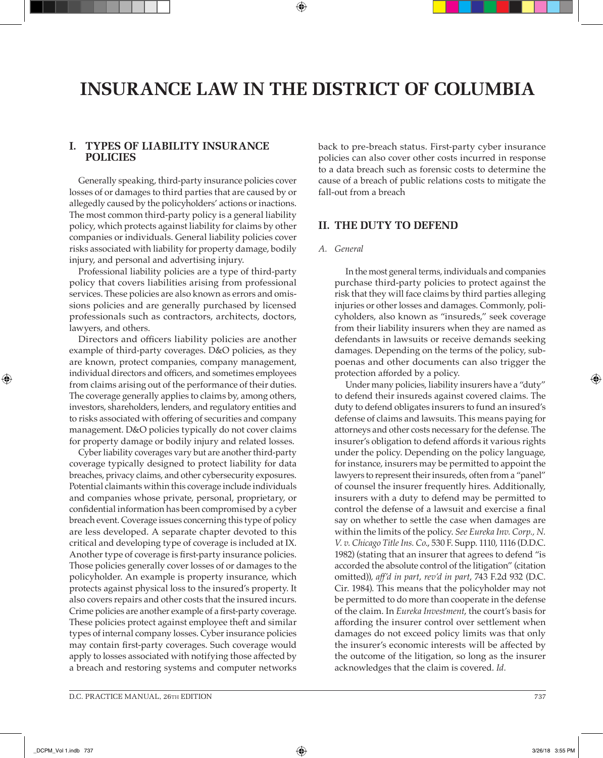# **INSURANCE LAW IN THE DISTRICT OF COLUMBIA**

⊕

# **I. TYPES OF LIABILITY INSURANCE POLICIES**

Generally speaking, third-party insurance policies cover losses of or damages to third parties that are caused by or allegedly caused by the policyholders' actions or inactions. The most common third-party policy is a general liability policy, which protects against liability for claims by other companies or individuals. General liability policies cover risks associated with liability for property damage, bodily injury, and personal and advertising injury.

Professional liability policies are a type of third-party policy that covers liabilities arising from professional services. These policies are also known as errors and omissions policies and are generally purchased by licensed professionals such as contractors, architects, doctors, lawyers, and others.

Directors and officers liability policies are another example of third-party coverages. D&O policies, as they are known, protect companies, company management, individual directors and officers, and sometimes employees from claims arising out of the performance of their duties. The coverage generally applies to claims by, among others, investors, shareholders, lenders, and regulatory entities and to risks associated with offering of securities and company management. D&O policies typically do not cover claims for property damage or bodily injury and related losses.

Cyber liability coverages vary but are another third-party coverage typically designed to protect liability for data breaches, privacy claims, and other cybersecurity exposures. Potential claimants within this coverage include individuals and companies whose private, personal, proprietary, or confidential information has been compromised by a cyber breach event. Coverage issues concerning this type of policy are less developed. A separate chapter devoted to this critical and developing type of coverage is included at IX. Another type of coverage is first-party insurance policies. Those policies generally cover losses of or damages to the policyholder. An example is property insurance, which protects against physical loss to the insured's property. It also covers repairs and other costs that the insured incurs. Crime policies are another example of a first-party coverage. These policies protect against employee theft and similar types of internal company losses. Cyber insurance policies may contain first-party coverages. Such coverage would apply to losses associated with notifying those affected by a breach and restoring systems and computer networks

# **II. THE DUTY TO DEFEND**

#### *A. General*

In the most general terms, individuals and companies purchase third-party policies to protect against the risk that they will face claims by third parties alleging injuries or other losses and damages. Commonly, policyholders, also known as "insureds," seek coverage from their liability insurers when they are named as defendants in lawsuits or receive demands seeking damages. Depending on the terms of the policy, subpoenas and other documents can also trigger the protection afforded by a policy.

Under many policies, liability insurers have a "duty" to defend their insureds against covered claims. The duty to defend obligates insurers to fund an insured's defense of claims and lawsuits. This means paying for attorneys and other costs necessary for the defense. The insurer's obligation to defend affords it various rights under the policy. Depending on the policy language, for instance, insurers may be permitted to appoint the lawyers to represent their insureds, often from a "panel" of counsel the insurer frequently hires. Additionally, insurers with a duty to defend may be permitted to control the defense of a lawsuit and exercise a final say on whether to settle the case when damages are within the limits of the policy. *See Eureka Inv. Corp., N. V. v. Chicago Title Ins. Co*., 530 F. Supp. 1110, 1116 (D.D.C. 1982) (stating that an insurer that agrees to defend "is accorded the absolute control of the litigation" (citation omitted)), *aff'd in part*, *rev'd in part*, 743 F.2d 932 (D.C. Cir. 1984). This means that the policyholder may not be permitted to do more than cooperate in the defense of the claim. In *Eureka Investment*, the court's basis for affording the insurer control over settlement when damages do not exceed policy limits was that only the insurer's economic interests will be affected by the outcome of the litigation, so long as the insurer acknowledges that the claim is covered. *Id.*

⊕

back to pre-breach status. First-party cyber insurance policies can also cover other costs incurred in response to a data breach such as forensic costs to determine the cause of a breach of public relations costs to mitigate the fall-out from a breach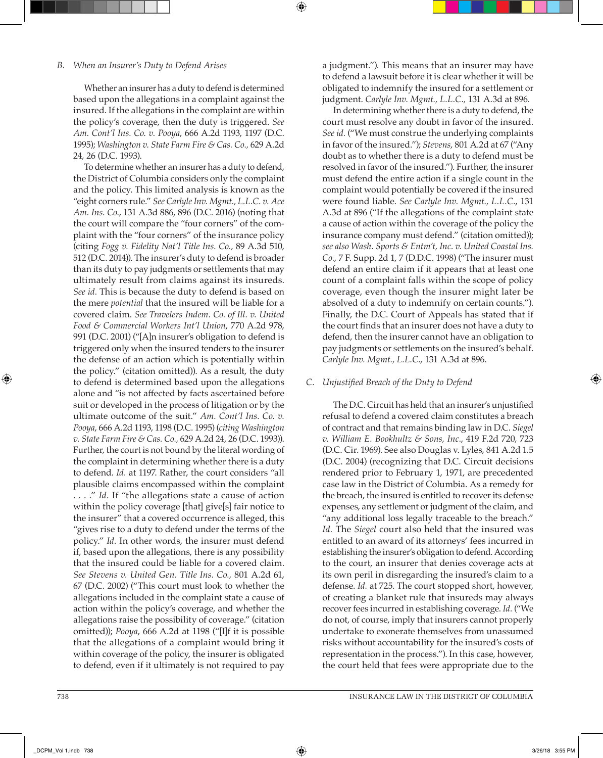#### *B. When an Insurer's Duty to Defend Arises*

Whether an insurer has a duty to defend is determined based upon the allegations in a complaint against the insured. If the allegations in the complaint are within the policy's coverage, then the duty is triggered. *See Am. Cont'l Ins. Co. v. Pooya*, 666 A.2d 1193, 1197 (D.C. 1995); *Washington v. State Farm Fire & Cas. Co.,* 629 A.2d 24, 26 (D.C. 1993).

To determine whether an insurer has a duty to defend, the District of Columbia considers only the complaint and the policy. This limited analysis is known as the "eight corners rule." *See Carlyle Inv. Mgmt., L.L.C. v. Ace Am. Ins. Co.*, 131 A.3d 886, 896 (D.C. 2016) (noting that the court will compare the "four corners" of the complaint with the "four corners" of the insurance policy (citing *Fogg v. Fidelity Nat'l Title Ins. Co.,* 89 A.3d 510, 512 (D.C. 2014)). The insurer's duty to defend is broader than its duty to pay judgments or settlements that may ultimately result from claims against its insureds. *See id.* This is because the duty to defend is based on the mere *potential* that the insured will be liable for a covered claim. *See Travelers Indem. Co. of Ill. v. United Food & Commercial Workers Int'l Union*, 770 A.2d 978, 991 (D.C. 2001) ("[A]n insurer's obligation to defend is triggered only when the insured tenders to the insurer the defense of an action which is potentially within the policy." (citation omitted)). As a result, the duty to defend is determined based upon the allegations alone and "is not affected by facts ascertained before suit or developed in the process of litigation or by the ultimate outcome of the suit." *Am. Cont'l Ins. Co. v. Pooya*, 666 A.2d 1193, 1198 (D.C. 1995) (*citing Washington v. State Farm Fire & Cas. Co.,* 629 A.2d 24, 26 (D.C. 1993)). Further, the court is not bound by the literal wording of the complaint in determining whether there is a duty to defend. *Id.* at 1197. Rather, the court considers "all plausible claims encompassed within the complaint . . . ." *Id.* If "the allegations state a cause of action within the policy coverage [that] give[s] fair notice to the insurer" that a covered occurrence is alleged, this "gives rise to a duty to defend under the terms of the policy." *Id.* In other words, the insurer must defend if, based upon the allegations, there is any possibility that the insured could be liable for a covered claim. *See Stevens v. United Gen. Title Ins. Co.,* 801 A.2d 61, 67 (D.C. 2002) ("This court must look to whether the allegations included in the complaint state a cause of action within the policy's coverage, and whether the allegations raise the possibility of coverage." (citation omitted)); *Pooya*, 666 A.2d at 1198 ("[I]f it is possible that the allegations of a complaint would bring it within coverage of the policy, the insurer is obligated to defend, even if it ultimately is not required to pay a judgment."). This means that an insurer may have to defend a lawsuit before it is clear whether it will be obligated to indemnify the insured for a settlement or judgment. *Carlyle Inv. Mgmt., L.L.C.,* 131 A.3d at 896.

In determining whether there is a duty to defend, the court must resolve any doubt in favor of the insured. *See id.* ("We must construe the underlying complaints in favor of the insured."); *Stevens*, 801 A.2d at 67 ("Any doubt as to whether there is a duty to defend must be resolved in favor of the insured."). Further, the insurer must defend the entire action if a single count in the complaint would potentially be covered if the insured were found liable. *See Carlyle Inv. Mgmt., L.L.C.*, 131 A.3d at 896 ("If the allegations of the complaint state a cause of action within the coverage of the policy the insurance company must defend." (citation omitted)); *see also Wash. Sports & Entm't, Inc. v. United Coastal Ins. Co.*, 7 F. Supp. 2d 1, 7 (D.D.C. 1998) ("The insurer must defend an entire claim if it appears that at least one count of a complaint falls within the scope of policy coverage, even though the insurer might later be absolved of a duty to indemnify on certain counts."). Finally, the D.C. Court of Appeals has stated that if the court finds that an insurer does not have a duty to defend, then the insurer cannot have an obligation to pay judgments or settlements on the insured's behalf. *Carlyle Inv. Mgmt., L.L.C.*, 131 A.3d at 896.

#### *C. Unjustified Breach of the Duty to Defend*

The D.C. Circuit has held that an insurer's unjustified refusal to defend a covered claim constitutes a breach of contract and that remains binding law in D.C. *Siegel v. William E. Bookhultz & Sons, Inc.*, 419 F.2d 720, 723 (D.C. Cir. 1969). See also Douglas v. Lyles, 841 A.2d 1.5 (D.C. 2004) (recognizing that D.C. Circuit decisions rendered prior to February 1, 1971, are precedented case law in the District of Columbia. As a remedy for the breach, the insured is entitled to recover its defense expenses, any settlement or judgment of the claim, and "any additional loss legally traceable to the breach." *Id.* The *Siegel* court also held that the insured was entitled to an award of its attorneys' fees incurred in establishing the insurer's obligation to defend. According to the court, an insurer that denies coverage acts at its own peril in disregarding the insured's claim to a defense. *Id.* at 725. The court stopped short, however, of creating a blanket rule that insureds may always recover fees incurred in establishing coverage. *Id.* ("We do not, of course, imply that insurers cannot properly undertake to exonerate themselves from unassumed risks without accountability for the insured's costs of representation in the process."). In this case, however, the court held that fees were appropriate due to the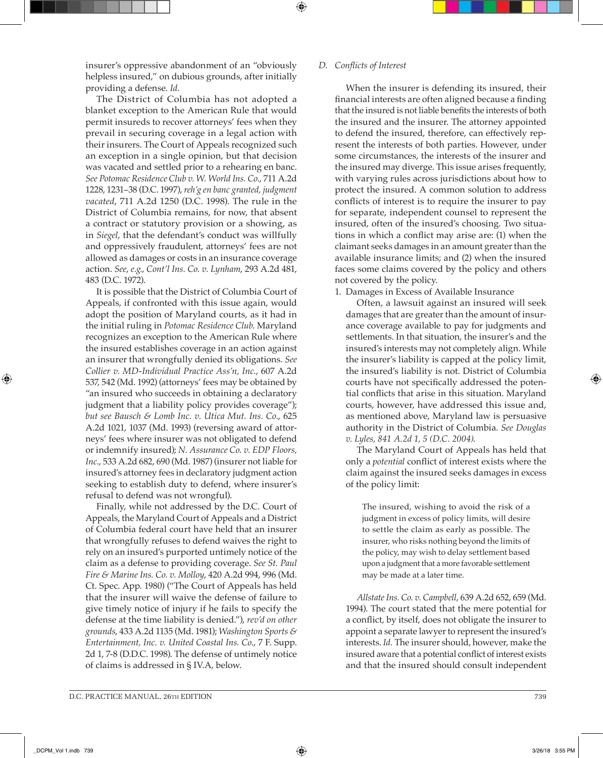insurer's oppressive abandonment of an "obviously helpless insured," on dubious grounds, after initially providing a defense. *Id.*

The District of Columbia has not adopted a blanket exception to the American Rule that would permit insureds to recover attorneys' fees when they prevail in securing coverage in a legal action with their insurers. The Court of Appeals recognized such an exception in a single opinion, but that decision was vacated and settled prior to a rehearing en banc. *See Potomac Residence Club v. W. World Ins. Co.*, 711 A.2d 1228, 1231–38 (D.C. 1997), *reh'g en banc granted, judgment vacated*, 711 A.2d 1250 (D.C. 1998). The rule in the District of Columbia remains, for now, that absent a contract or statutory provision or a showing, as in *Siegel*, that the defendant's conduct was willfully and oppressively fraudulent, attorneys' fees are not allowed as damages or costs in an insurance coverage action. *See*, *e.g.*, *Cont'l Ins. Co. v. Lynham*, 293 A.2d 481, 483 (D.C. 1972).

It is possible that the District of Columbia Court of Appeals, if confronted with this issue again, would adopt the position of Maryland courts, as it had in the initial ruling in *Potomac Residence Club*. Maryland recognizes an exception to the American Rule where the insured establishes coverage in an action against an insurer that wrongfully denied its obligations. *See Collier v. MD-Individual Practice Ass'n, Inc.*, 607 A.2d 537, 542 (Md. 1992) (attorneys' fees may be obtained by "an insured who succeeds in obtaining a declaratory judgment that a liability policy provides coverage"); *but see Bausch & Lomb Inc. v. Utica Mut. Ins. Co.*, 625 A.2d 1021, 1037 (Md. 1993) (reversing award of attorneys' fees where insurer was not obligated to defend or indemnify insured); *N. Assurance Co. v. EDP Floors, Inc.*, 533 A.2d 682, 690 (Md. 1987) (insurer not liable for insured's attorney fees in declaratory judgment action seeking to establish duty to defend, where insurer's refusal to defend was not wrongful).

Finally, while not addressed by the D.C. Court of Appeals, the Maryland Court of Appeals and a District of Columbia federal court have held that an insurer that wrongfully refuses to defend waives the right to rely on an insured's purported untimely notice of the claim as a defense to providing coverage. *See St. Paul Fire & Marine Ins. Co. v. Molloy*, 420 A.2d 994, 996 (Md. Ct. Spec. App. 1980) ("The Court of Appeals has held that the insurer will waive the defense of failure to give timely notice of injury if he fails to specify the defense at the time liability is denied."), *rev'd on other grounds*, 433 A.2d 1135 (Md. 1981); *Washington Sports & Entertainment, Inc. v. United Coastal Ins. Co.*, 7 F. Supp. 2d 1, 7-8 (D.D.C. 1998). The defense of untimely notice of claims is addressed in § IV.A, below.

#### *D. Conflicts of Interest*

When the insurer is defending its insured, their financial interests are often aligned because a finding that the insured is not liable benefits the interests of both the insured and the insurer. The attorney appointed to defend the insured, therefore, can effectively represent the interests of both parties. However, under some circumstances, the interests of the insurer and the insured may diverge. This issue arises frequently, with varying rules across jurisdictions about how to protect the insured. A common solution to address conflicts of interest is to require the insurer to pay for separate, independent counsel to represent the insured, often of the insured's choosing. Two situations in which a conflict may arise are: (1) when the claimant seeks damages in an amount greater than the available insurance limits; and (2) when the insured faces some claims covered by the policy and others not covered by the policy.

1. Damages in Excess of Available Insurance

Often, a lawsuit against an insured will seek damages that are greater than the amount of insurance coverage available to pay for judgments and settlements. In that situation, the insurer's and the insured's interests may not completely align. While the insurer's liability is capped at the policy limit, the insured's liability is not. District of Columbia courts have not specifically addressed the potential conflicts that arise in this situation. Maryland courts, however, have addressed this issue and, as mentioned above, Maryland law is persuasive authority in the District of Columbia. *See Douglas v. Lyles, 841 A.2d 1, 5 (D.C. 2004)*.

The Maryland Court of Appeals has held that only a *potential* conflict of interest exists where the claim against the insured seeks damages in excess of the policy limit:

The insured, wishing to avoid the risk of a judgment in excess of policy limits, will desire to settle the claim as early as possible. The insurer, who risks nothing beyond the limits of the policy, may wish to delay settlement based upon a judgment that a more favorable settlement may be made at a later time.

*Allstate Ins. Co. v. Campbell*, 639 A.2d 652, 659 (Md. 1994). The court stated that the mere potential for a conflict, by itself, does not obligate the insurer to appoint a separate lawyer to represent the insured's interests. *Id.* The insurer should, however, make the insured aware that a potential conflict of interest exists and that the insured should consult independent

⊕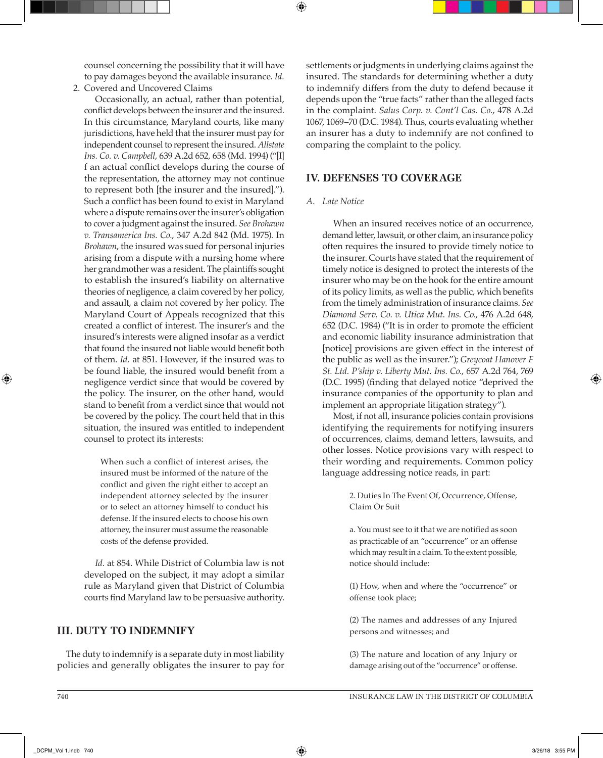counsel concerning the possibility that it will have to pay damages beyond the available insurance. *Id.*

2. Covered and Uncovered Claims

Occasionally, an actual, rather than potential, conflict develops between the insurer and the insured. In this circumstance, Maryland courts, like many jurisdictions, have held that the insurer must pay for independent counsel to represent the insured. *Allstate Ins. Co. v. Campbell*, 639 A.2d 652, 658 (Md. 1994) ("[I] f an actual conflict develops during the course of the representation, the attorney may not continue to represent both [the insurer and the insured]."). Such a conflict has been found to exist in Maryland where a dispute remains over the insurer's obligation to cover a judgment against the insured. *See Brohawn v. Transamerica Ins. Co.*, 347 A.2d 842 (Md. 1975). In *Brohawn*, the insured was sued for personal injuries arising from a dispute with a nursing home where her grandmother was a resident. The plaintiffs sought to establish the insured's liability on alternative theories of negligence, a claim covered by her policy, and assault, a claim not covered by her policy. The Maryland Court of Appeals recognized that this created a conflict of interest. The insurer's and the insured's interests were aligned insofar as a verdict that found the insured not liable would benefit both of them. *Id.* at 851. However, if the insured was to be found liable, the insured would benefit from a negligence verdict since that would be covered by the policy. The insurer, on the other hand, would stand to benefit from a verdict since that would not be covered by the policy. The court held that in this situation, the insured was entitled to independent counsel to protect its interests:

When such a conflict of interest arises, the insured must be informed of the nature of the conflict and given the right either to accept an independent attorney selected by the insurer or to select an attorney himself to conduct his defense. If the insured elects to choose his own attorney, the insurer must assume the reasonable costs of the defense provided.

*Id.* at 854. While District of Columbia law is not developed on the subject, it may adopt a similar rule as Maryland given that District of Columbia courts find Maryland law to be persuasive authority.

# **III. DUTY TO INDEMNIFY**

The duty to indemnify is a separate duty in most liability policies and generally obligates the insurer to pay for settlements or judgments in underlying claims against the insured. The standards for determining whether a duty to indemnify differs from the duty to defend because it depends upon the "true facts" rather than the alleged facts in the complaint. *Salus Corp. v. Cont'l Cas. Co.*, 478 A.2d 1067, 1069–70 (D.C. 1984). Thus, courts evaluating whether an insurer has a duty to indemnify are not confined to comparing the complaint to the policy.

# **IV. DEFENSES TO COVERAGE**

#### *A. Late Notice*

⊕

When an insured receives notice of an occurrence, demand letter, lawsuit, or other claim, an insurance policy often requires the insured to provide timely notice to the insurer. Courts have stated that the requirement of timely notice is designed to protect the interests of the insurer who may be on the hook for the entire amount of its policy limits, as well as the public, which benefits from the timely administration of insurance claims. *See Diamond Serv. Co. v. Utica Mut. Ins. Co.*, 476 A.2d 648, 652 (D.C. 1984) ("It is in order to promote the efficient and economic liability insurance administration that [notice] provisions are given effect in the interest of the public as well as the insurer."); *Greycoat Hanover F St. Ltd. P'ship v. Liberty Mut. Ins. Co.*, 657 A.2d 764, 769 (D.C. 1995) (finding that delayed notice "deprived the insurance companies of the opportunity to plan and implement an appropriate litigation strategy").

Most, if not all, insurance policies contain provisions identifying the requirements for notifying insurers of occurrences, claims, demand letters, lawsuits, and other losses. Notice provisions vary with respect to their wording and requirements. Common policy language addressing notice reads, in part:

> 2. Duties In The Event Of, Occurrence, Offense, Claim Or Suit

> a. You must see to it that we are notified as soon as practicable of an "occurrence" or an offense which may result in a claim. To the extent possible, notice should include:

> (1) How, when and where the "occurrence" or offense took place;

> (2) The names and addresses of any Injured persons and witnesses; and

(3) The nature and location of any Injury or damage arising out of the "occurrence" or offense.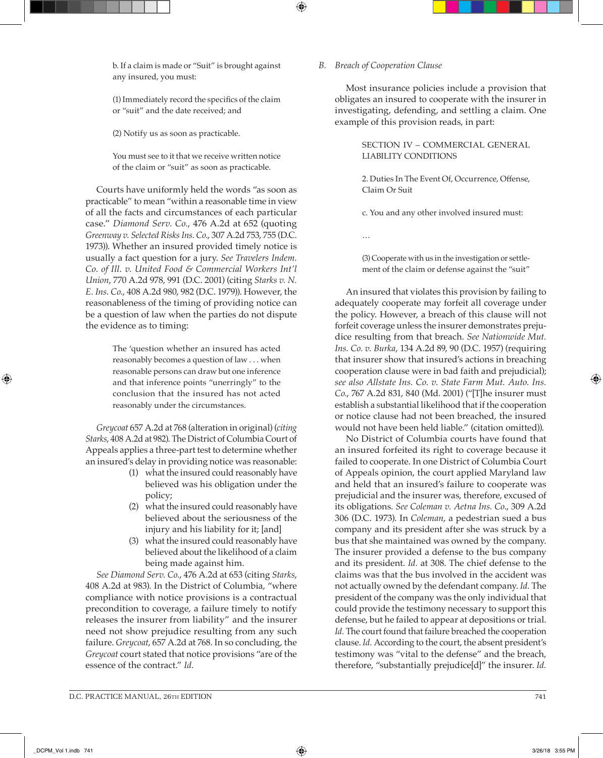b. If a claim is made or "Suit" is brought against any insured, you must:

(1) Immediately record the specifics of the claim or "suit" and the date received; and

(2) Notify us as soon as practicable.

You must see to it that we receive written notice of the claim or "suit" as soon as practicable.

Courts have uniformly held the words "as soon as practicable" to mean "within a reasonable time in view of all the facts and circumstances of each particular case." *Diamond Serv. Co.*, 476 A.2d at 652 (quoting *Greenway v. Selected Risks Ins. Co.*, 307 A.2d 753, 755 (D.C. 1973)). Whether an insured provided timely notice is usually a fact question for a jury. *See Travelers Indem. Co. of Ill. v. United Food & Commercial Workers Int'l Union*, 770 A.2d 978, 991 (D.C. 2001) (citing *Starks v. N. E. Ins. Co.*, 408 A.2d 980, 982 (D.C. 1979)). However, the reasonableness of the timing of providing notice can be a question of law when the parties do not dispute the evidence as to timing:

> The 'question whether an insured has acted reasonably becomes a question of law . . . when reasonable persons can draw but one inference and that inference points "unerringly" to the conclusion that the insured has not acted reasonably under the circumstances.

*Greycoat* 657 A.2d at 768 (alteration in original) (*citing Starks*, 408 A.2d at 982). The District of Columbia Court of Appeals applies a three-part test to determine whether an insured's delay in providing notice was reasonable:

- (1) what the insured could reasonably have believed was his obligation under the policy;
- (2) what the insured could reasonably have believed about the seriousness of the injury and his liability for it; [and]
- (3) what the insured could reasonably have believed about the likelihood of a claim being made against him.

*See Diamond Serv. Co.*, 476 A.2d at 653 (citing *Starks*, 408 A.2d at 983). In the District of Columbia, "where compliance with notice provisions is a contractual precondition to coverage, a failure timely to notify releases the insurer from liability" and the insurer need not show prejudice resulting from any such failure. *Greycoat*, 657 A.2d at 768. In so concluding, the *Greycoat* court stated that notice provisions "are of the essence of the contract." *Id.*

#### *B. Breach of Cooperation Clause*

Most insurance policies include a provision that obligates an insured to cooperate with the insurer in investigating, defending, and settling a claim. One example of this provision reads, in part:

> SECTION IV – COMMERCIAL GENERAL LIABILITY CONDITIONS

> 2. Duties In The Event Of, Occurrence, Offense, Claim Or Suit

c. You and any other involved insured must:

…

(3) Cooperate with us in the investigation or settlement of the claim or defense against the "suit"

An insured that violates this provision by failing to adequately cooperate may forfeit all coverage under the policy. However, a breach of this clause will not forfeit coverage unless the insurer demonstrates prejudice resulting from that breach. *See Nationwide Mut. Ins. Co. v. Burka*, 134 A.2d 89, 90 (D.C. 1957) (requiring that insurer show that insured's actions in breaching cooperation clause were in bad faith and prejudicial); *see also Allstate Ins. Co. v. State Farm Mut. Auto. Ins. Co.*, 767 A.2d 831, 840 (Md. 2001) ("[T]he insurer must establish a substantial likelihood that if the cooperation or notice clause had not been breached, the insured would not have been held liable." (citation omitted)).

No District of Columbia courts have found that an insured forfeited its right to coverage because it failed to cooperate. In one District of Columbia Court of Appeals opinion, the court applied Maryland law and held that an insured's failure to cooperate was prejudicial and the insurer was, therefore, excused of its obligations. *See Coleman v. Aetna Ins. Co.*, 309 A.2d 306 (D.C. 1973). In *Coleman*, a pedestrian sued a bus company and its president after she was struck by a bus that she maintained was owned by the company. The insurer provided a defense to the bus company and its president. *Id.* at 308. The chief defense to the claims was that the bus involved in the accident was not actually owned by the defendant company. *Id.* The president of the company was the only individual that could provide the testimony necessary to support this defense, but he failed to appear at depositions or trial. *Id.* The court found that failure breached the cooperation clause. *Id.* According to the court, the absent president's testimony was "vital to the defense" and the breach, therefore, "substantially prejudice[d]" the insurer. *Id.*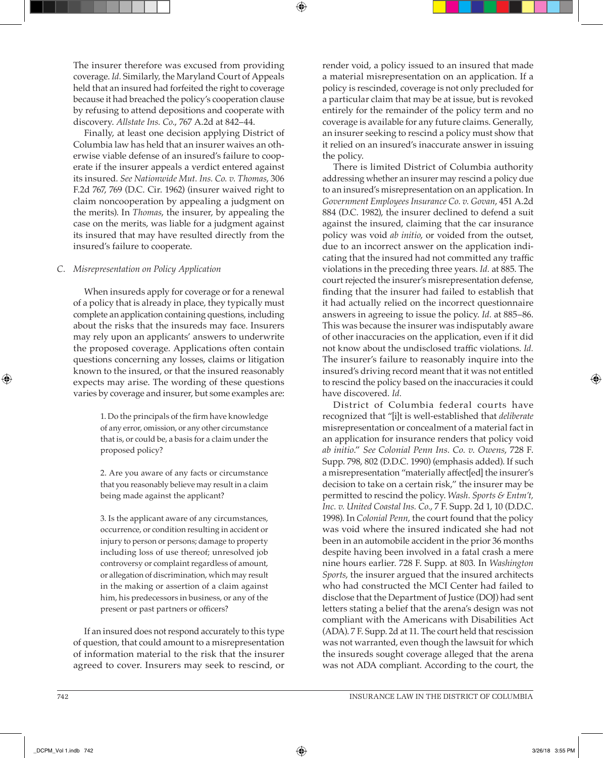The insurer therefore was excused from providing coverage. *Id.* Similarly, the Maryland Court of Appeals held that an insured had forfeited the right to coverage because it had breached the policy's cooperation clause by refusing to attend depositions and cooperate with discovery. *Allstate Ins. Co.*, 767 A.2d at 842–44.

Finally, at least one decision applying District of Columbia law has held that an insurer waives an otherwise viable defense of an insured's failure to cooperate if the insurer appeals a verdict entered against its insured. *See Nationwide Mut. Ins. Co. v. Thomas*, 306 F.2d 767, 769 (D.C. Cir. 1962) (insurer waived right to claim noncooperation by appealing a judgment on the merits). In *Thomas*, the insurer, by appealing the case on the merits, was liable for a judgment against its insured that may have resulted directly from the insured's failure to cooperate.

#### *C. Misrepresentation on Policy Application*

When insureds apply for coverage or for a renewal of a policy that is already in place, they typically must complete an application containing questions, including about the risks that the insureds may face. Insurers may rely upon an applicants' answers to underwrite the proposed coverage. Applications often contain questions concerning any losses, claims or litigation known to the insured, or that the insured reasonably expects may arise. The wording of these questions varies by coverage and insurer, but some examples are:

> 1. Do the principals of the firm have knowledge of any error, omission, or any other circumstance that is, or could be, a basis for a claim under the proposed policy?

> 2. Are you aware of any facts or circumstance that you reasonably believe may result in a claim being made against the applicant?

> 3. Is the applicant aware of any circumstances, occurrence, or condition resulting in accident or injury to person or persons; damage to property including loss of use thereof; unresolved job controversy or complaint regardless of amount, or allegation of discrimination, which may result in the making or assertion of a claim against him, his predecessors in business, or any of the present or past partners or officers?

If an insured does not respond accurately to this type of question, that could amount to a misrepresentation of information material to the risk that the insurer agreed to cover. Insurers may seek to rescind, or render void, a policy issued to an insured that made a material misrepresentation on an application. If a policy is rescinded, coverage is not only precluded for a particular claim that may be at issue, but is revoked entirely for the remainder of the policy term and no coverage is available for any future claims. Generally, an insurer seeking to rescind a policy must show that it relied on an insured's inaccurate answer in issuing the policy.

There is limited District of Columbia authority addressing whether an insurer may rescind a policy due to an insured's misrepresentation on an application. In *Government Employees Insurance Co. v. Govan*, 451 A.2d 884 (D.C. 1982), the insurer declined to defend a suit against the insured, claiming that the car insurance policy was void *ab initio*, or voided from the outset, due to an incorrect answer on the application indicating that the insured had not committed any traffic violations in the preceding three years. *Id.* at 885. The court rejected the insurer's misrepresentation defense, finding that the insurer had failed to establish that it had actually relied on the incorrect questionnaire answers in agreeing to issue the policy. *Id.* at 885–86. This was because the insurer was indisputably aware of other inaccuracies on the application, even if it did not know about the undisclosed traffic violations. *Id.* The insurer's failure to reasonably inquire into the insured's driving record meant that it was not entitled to rescind the policy based on the inaccuracies it could have discovered. *Id.*

District of Columbia federal courts have recognized that "[i]t is well-established that *deliberate* misrepresentation or concealment of a material fact in an application for insurance renders that policy void *ab initio*." *See Colonial Penn Ins. Co. v. Owens*, 728 F. Supp. 798, 802 (D.D.C. 1990) (emphasis added). If such a misrepresentation "materially affect[ed] the insurer's decision to take on a certain risk," the insurer may be permitted to rescind the policy. *Wash. Sports & Entm't, Inc. v. United Coastal Ins. Co.*, 7 F. Supp. 2d 1, 10 (D.D.C. 1998). In *Colonial Penn*, the court found that the policy was void where the insured indicated she had not been in an automobile accident in the prior 36 months despite having been involved in a fatal crash a mere nine hours earlier. 728 F. Supp. at 803. In *Washington Sports*, the insurer argued that the insured architects who had constructed the MCI Center had failed to disclose that the Department of Justice (DOJ) had sent letters stating a belief that the arena's design was not compliant with the Americans with Disabilities Act (ADA). 7 F. Supp. 2d at 11. The court held that rescission was not warranted, even though the lawsuit for which the insureds sought coverage alleged that the arena was not ADA compliant. According to the court, the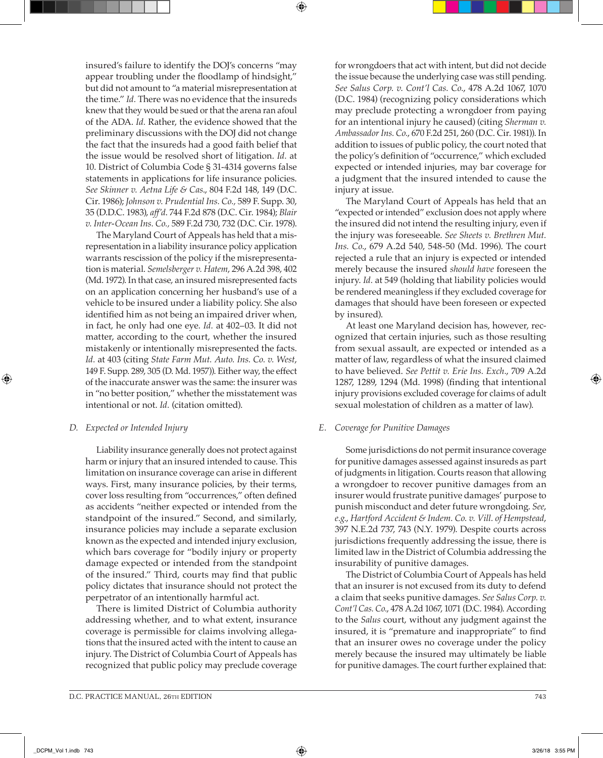insured's failure to identify the DOJ's concerns "may appear troubling under the floodlamp of hindsight," but did not amount to "a material misrepresentation at the time." *Id.* There was no evidence that the insureds knew that they would be sued or that the arena ran afoul of the ADA. *Id.* Rather, the evidence showed that the preliminary discussions with the DOJ did not change the fact that the insureds had a good faith belief that the issue would be resolved short of litigation. *Id.* at 10. District of Columbia Code § 31-4314 governs false statements in applications for life insurance policies. *See Skinner v. Aetna Life & Cas*., 804 F.2d 148, 149 (D.C. Cir. 1986); *Johnson v. Prudential Ins. Co.,* 589 F. Supp. 30, 35 (D.D.C. 1983), *aff'd*. 744 F.2d 878 (D.C. Cir. 1984); *Blair v. Inter-Ocean Ins. Co.,* 589 F.2d 730, 732 (D.C. Cir. 1978).

The Maryland Court of Appeals has held that a misrepresentation in a liability insurance policy application warrants rescission of the policy if the misrepresentation is material. *Semelsberger v. Hatem*, 296 A.2d 398, 402 (Md. 1972). In that case, an insured misrepresented facts on an application concerning her husband's use of a vehicle to be insured under a liability policy. She also identified him as not being an impaired driver when, in fact, he only had one eye. *Id.* at 402–03. It did not matter, according to the court, whether the insured mistakenly or intentionally misrepresented the facts. *Id.* at 403 (citing *State Farm Mut. Auto. Ins. Co. v. West*, 149 F. Supp. 289, 305 (D. Md. 1957)). Either way, the effect of the inaccurate answer was the same: the insurer was in "no better position," whether the misstatement was intentional or not. *Id.* (citation omitted).

#### *D. Expected or Intended Injury*

Liability insurance generally does not protect against harm or injury that an insured intended to cause. This limitation on insurance coverage can arise in different ways. First, many insurance policies, by their terms, cover loss resulting from "occurrences," often defined as accidents "neither expected or intended from the standpoint of the insured." Second, and similarly, insurance policies may include a separate exclusion known as the expected and intended injury exclusion, which bars coverage for "bodily injury or property damage expected or intended from the standpoint of the insured." Third, courts may find that public policy dictates that insurance should not protect the perpetrator of an intentionally harmful act.

There is limited District of Columbia authority addressing whether, and to what extent, insurance coverage is permissible for claims involving allegations that the insured acted with the intent to cause an injury. The District of Columbia Court of Appeals has recognized that public policy may preclude coverage for wrongdoers that act with intent, but did not decide the issue because the underlying case was still pending. *See Salus Corp. v. Cont'l Cas. Co.*, 478 A.2d 1067, 1070 (D.C. 1984) (recognizing policy considerations which may preclude protecting a wrongdoer from paying for an intentional injury he caused) (citing *Sherman v. Ambassador Ins. Co.*, 670 F.2d 251, 260 (D.C. Cir. 1981)). In addition to issues of public policy, the court noted that the policy's definition of "occurrence," which excluded expected or intended injuries, may bar coverage for a judgment that the insured intended to cause the injury at issue.

The Maryland Court of Appeals has held that an "expected or intended" exclusion does not apply where the insured did not intend the resulting injury, even if the injury was foreseeable. *See Sheets v. Brethren Mut. Ins. Co.*, 679 A.2d 540, 548-50 (Md. 1996). The court rejected a rule that an injury is expected or intended merely because the insured *should have* foreseen the injury. *Id.* at 549 (holding that liability policies would be rendered meaningless if they excluded coverage for damages that should have been foreseen or expected by insured).

At least one Maryland decision has, however, recognized that certain injuries, such as those resulting from sexual assault, are expected or intended as a matter of law, regardless of what the insured claimed to have believed. *See Pettit v. Erie Ins. Exch.*, 709 A.2d 1287, 1289, 1294 (Md. 1998) (finding that intentional injury provisions excluded coverage for claims of adult sexual molestation of children as a matter of law).

#### *E. Coverage for Punitive Damages*

Some jurisdictions do not permit insurance coverage for punitive damages assessed against insureds as part of judgments in litigation. Courts reason that allowing a wrongdoer to recover punitive damages from an insurer would frustrate punitive damages' purpose to punish misconduct and deter future wrongdoing. *See*, *e.g.*, *Hartford Accident & Indem. Co. v. Vill. of Hempstead*, 397 N.E.2d 737, 743 (N.Y. 1979). Despite courts across jurisdictions frequently addressing the issue, there is limited law in the District of Columbia addressing the insurability of punitive damages.

The District of Columbia Court of Appeals has held that an insurer is not excused from its duty to defend a claim that seeks punitive damages. *See Salus Corp. v. Cont'l Cas. Co.*, 478 A.2d 1067, 1071 (D.C. 1984). According to the *Salus* court, without any judgment against the insured, it is "premature and inappropriate" to find that an insurer owes no coverage under the policy merely because the insured may ultimately be liable for punitive damages. The court further explained that: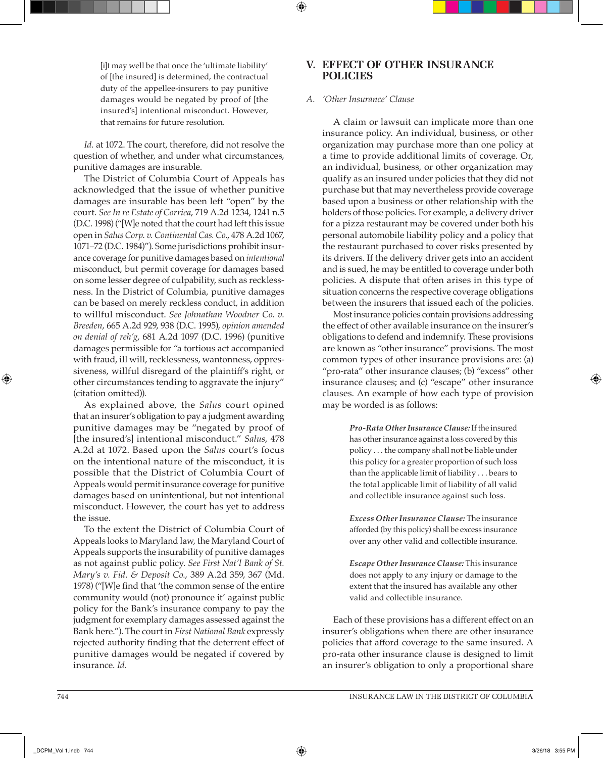[i]t may well be that once the 'ultimate liability' of [the insured] is determined, the contractual duty of the appellee-insurers to pay punitive damages would be negated by proof of [the insured's] intentional misconduct. However, that remains for future resolution.

*Id.* at 1072. The court, therefore, did not resolve the question of whether, and under what circumstances, punitive damages are insurable.

The District of Columbia Court of Appeals has acknowledged that the issue of whether punitive damages are insurable has been left "open" by the court. *See In re Estate of Corriea*, 719 A.2d 1234, 1241 n.5 (D.C. 1998) ("[W]e noted that the court had left this issue open in *Salus Corp. v. Continental Cas. Co.*, 478 A.2d 1067, 1071–72 (D.C. 1984)"). Some jurisdictions prohibit insurance coverage for punitive damages based on *intentional* misconduct, but permit coverage for damages based on some lesser degree of culpability, such as recklessness. In the District of Columbia, punitive damages can be based on merely reckless conduct, in addition to willful misconduct. *See Johnathan Woodner Co. v. Breeden*, 665 A.2d 929, 938 (D.C. 1995), *opinion amended on denial of reh'g*, 681 A.2d 1097 (D.C. 1996) (punitive damages permissible for "a tortious act accompanied with fraud, ill will, recklessness, wantonness, oppressiveness, willful disregard of the plaintiff's right, or other circumstances tending to aggravate the injury" (citation omitted)).

As explained above, the *Salus* court opined that an insurer's obligation to pay a judgment awarding punitive damages may be "negated by proof of [the insured's] intentional misconduct." *Salus*, 478 A.2d at 1072. Based upon the *Salus* court's focus on the intentional nature of the misconduct, it is possible that the District of Columbia Court of Appeals would permit insurance coverage for punitive damages based on unintentional, but not intentional misconduct. However, the court has yet to address the issue.

To the extent the District of Columbia Court of Appeals looks to Maryland law, the Maryland Court of Appeals supports the insurability of punitive damages as not against public policy. *See First Nat'l Bank of St. Mary's v. Fid. & Deposit Co.*, 389 A.2d 359, 367 (Md. 1978) ("[W]e find that 'the common sense of the entire community would (not) pronounce it' against public policy for the Bank's insurance company to pay the judgment for exemplary damages assessed against the Bank here."). The court in *First National Bank* expressly rejected authority finding that the deterrent effect of punitive damages would be negated if covered by insurance. *Id.*

# **V. EFFECT OF OTHER INSURANCE POLICIES**

#### *A. 'Other Insurance' Clause*

A claim or lawsuit can implicate more than one insurance policy. An individual, business, or other organization may purchase more than one policy at a time to provide additional limits of coverage. Or, an individual, business, or other organization may qualify as an insured under policies that they did not purchase but that may nevertheless provide coverage based upon a business or other relationship with the holders of those policies. For example, a delivery driver for a pizza restaurant may be covered under both his personal automobile liability policy and a policy that the restaurant purchased to cover risks presented by its drivers. If the delivery driver gets into an accident and is sued, he may be entitled to coverage under both policies. A dispute that often arises in this type of situation concerns the respective coverage obligations between the insurers that issued each of the policies.

Most insurance policies contain provisions addressing the effect of other available insurance on the insurer's obligations to defend and indemnify. These provisions are known as "other insurance" provisions. The most common types of other insurance provisions are: (a) "pro-rata" other insurance clauses; (b) "excess" other insurance clauses; and (c) "escape" other insurance clauses. An example of how each type of provision may be worded is as follows:

> *Pro-Rata Other Insurance Clause:* If the insured has other insurance against a loss covered by this policy . . . the company shall not be liable under this policy for a greater proportion of such loss than the applicable limit of liability . . . bears to the total applicable limit of liability of all valid and collectible insurance against such loss.

> *Excess Other Insurance Clause:* The insurance afforded (by this policy) shall be excess insurance over any other valid and collectible insurance.

> *Escape Other Insurance Clause:* This insurance does not apply to any injury or damage to the extent that the insured has available any other valid and collectible insurance.

Each of these provisions has a different effect on an insurer's obligations when there are other insurance policies that afford coverage to the same insured. A pro-rata other insurance clause is designed to limit an insurer's obligation to only a proportional share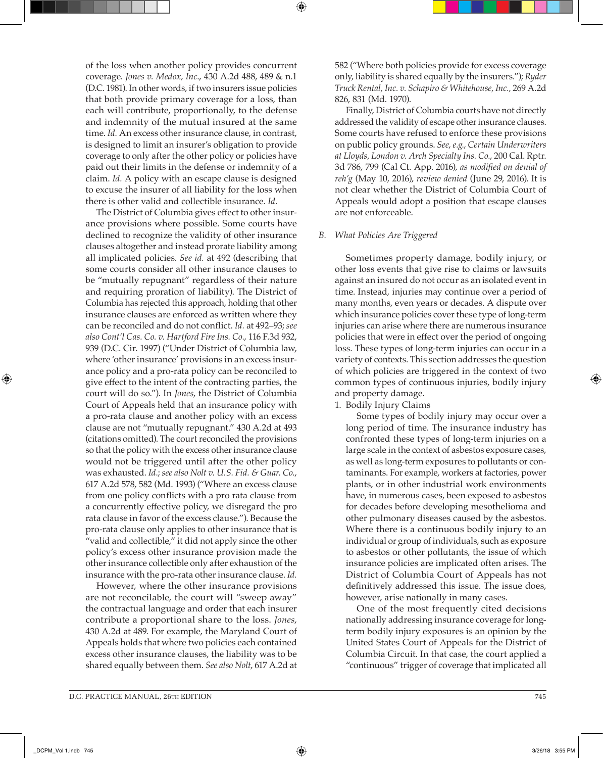of the loss when another policy provides concurrent coverage. *Jones v. Medox, Inc.*, 430 A.2d 488, 489 & n.1 (D.C. 1981). In other words, if two insurers issue policies that both provide primary coverage for a loss, than each will contribute, proportionally, to the defense and indemnity of the mutual insured at the same time. *Id.* An excess other insurance clause, in contrast, is designed to limit an insurer's obligation to provide coverage to only after the other policy or policies have paid out their limits in the defense or indemnity of a claim. *Id.* A policy with an escape clause is designed to excuse the insurer of all liability for the loss when there is other valid and collectible insurance. *Id.*

The District of Columbia gives effect to other insurance provisions where possible. Some courts have declined to recognize the validity of other insurance clauses altogether and instead prorate liability among all implicated policies. *See id.* at 492 (describing that some courts consider all other insurance clauses to be "mutually repugnant" regardless of their nature and requiring proration of liability). The District of Columbia has rejected this approach, holding that other insurance clauses are enforced as written where they can be reconciled and do not conflict. *Id.* at 492–93; *see also Cont'l Cas. Co. v. Hartford Fire Ins. Co.*, 116 F.3d 932, 939 (D.C. Cir. 1997) ("Under District of Columbia law, where 'other insurance' provisions in an excess insurance policy and a pro-rata policy can be reconciled to give effect to the intent of the contracting parties, the court will do so."). In *Jones*, the District of Columbia Court of Appeals held that an insurance policy with a pro-rata clause and another policy with an excess clause are not "mutually repugnant." 430 A.2d at 493 (citations omitted). The court reconciled the provisions so that the policy with the excess other insurance clause would not be triggered until after the other policy was exhausted. *Id.*; *see also Nolt v. U.S. Fid. & Guar. Co.*, 617 A.2d 578, 582 (Md. 1993) ("Where an excess clause from one policy conflicts with a pro rata clause from a concurrently effective policy, we disregard the pro rata clause in favor of the excess clause."). Because the pro-rata clause only applies to other insurance that is "valid and collectible," it did not apply since the other policy's excess other insurance provision made the other insurance collectible only after exhaustion of the insurance with the pro-rata other insurance clause. *Id.*

However, where the other insurance provisions are not reconcilable, the court will "sweep away" the contractual language and order that each insurer contribute a proportional share to the loss. *Jones*, 430 A.2d at 489. For example, the Maryland Court of Appeals holds that where two policies each contained excess other insurance clauses, the liability was to be shared equally between them. *See also Nolt*, 617 A.2d at

582 ("Where both policies provide for excess coverage only, liability is shared equally by the insurers."); *Ryder Truck Rental, Inc. v. Schapiro & Whitehouse, Inc.,* 269 A.2d 826, 831 (Md. 1970).

Finally, District of Columbia courts have not directly addressed the validity of escape other insurance clauses. Some courts have refused to enforce these provisions on public policy grounds. *See*, *e.g.*, *Certain Underwriters at Lloyds, London v. Arch Specialty Ins. Co.*, 200 Cal. Rptr. 3d 786, 799 (Cal Ct. App. 2016), *as modified on denial of reh'g* (May 10, 2016), *review denied* (June 29, 2016). It is not clear whether the District of Columbia Court of Appeals would adopt a position that escape clauses are not enforceable.

#### *B. What Policies Are Triggered*

Sometimes property damage, bodily injury, or other loss events that give rise to claims or lawsuits against an insured do not occur as an isolated event in time. Instead, injuries may continue over a period of many months, even years or decades. A dispute over which insurance policies cover these type of long-term injuries can arise where there are numerous insurance policies that were in effect over the period of ongoing loss. These types of long-term injuries can occur in a variety of contexts. This section addresses the question of which policies are triggered in the context of two common types of continuous injuries, bodily injury and property damage.

1. Bodily Injury Claims

Some types of bodily injury may occur over a long period of time. The insurance industry has confronted these types of long-term injuries on a large scale in the context of asbestos exposure cases, as well as long-term exposures to pollutants or contaminants. For example, workers at factories, power plants, or in other industrial work environments have, in numerous cases, been exposed to asbestos for decades before developing mesothelioma and other pulmonary diseases caused by the asbestos. Where there is a continuous bodily injury to an individual or group of individuals, such as exposure to asbestos or other pollutants, the issue of which insurance policies are implicated often arises. The District of Columbia Court of Appeals has not definitively addressed this issue. The issue does, however, arise nationally in many cases.

One of the most frequently cited decisions nationally addressing insurance coverage for longterm bodily injury exposures is an opinion by the United States Court of Appeals for the District of Columbia Circuit. In that case, the court applied a "continuous" trigger of coverage that implicated all

⊕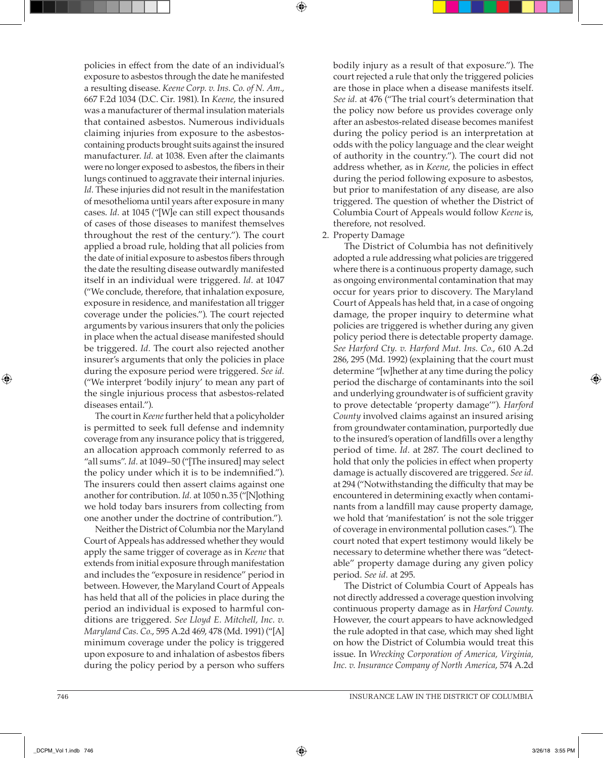policies in effect from the date of an individual's exposure to asbestos through the date he manifested a resulting disease. *Keene Corp. v. Ins. Co. of N. Am.*, 667 F.2d 1034 (D.C. Cir. 1981). In *Keene*, the insured was a manufacturer of thermal insulation materials that contained asbestos. Numerous individuals claiming injuries from exposure to the asbestoscontaining products brought suits against the insured manufacturer. *Id.* at 1038. Even after the claimants were no longer exposed to asbestos, the fibers in their lungs continued to aggravate their internal injuries. *Id.* These injuries did not result in the manifestation of mesothelioma until years after exposure in many cases. *Id.* at 1045 ("[W]e can still expect thousands of cases of those diseases to manifest themselves throughout the rest of the century."). The court applied a broad rule, holding that all policies from the date of initial exposure to asbestos fibers through the date the resulting disease outwardly manifested itself in an individual were triggered. *Id.* at 1047 ("We conclude, therefore, that inhalation exposure, exposure in residence, and manifestation all trigger coverage under the policies."). The court rejected arguments by various insurers that only the policies in place when the actual disease manifested should be triggered. *Id.* The court also rejected another insurer's arguments that only the policies in place during the exposure period were triggered. *See id.* ("We interpret 'bodily injury' to mean any part of the single injurious process that asbestos-related diseases entail.").

The court in *Keene* further held that a policyholder is permitted to seek full defense and indemnity coverage from any insurance policy that is triggered, an allocation approach commonly referred to as "all sums". *Id.* at 1049–50 ("[The insured] may select the policy under which it is to be indemnified."). The insurers could then assert claims against one another for contribution. *Id.* at 1050 n.35 ("[N]othing we hold today bars insurers from collecting from one another under the doctrine of contribution.").

Neither the District of Columbia nor the Maryland Court of Appeals has addressed whether they would apply the same trigger of coverage as in *Keene* that extends from initial exposure through manifestation and includes the "exposure in residence" period in between. However, the Maryland Court of Appeals has held that all of the policies in place during the period an individual is exposed to harmful conditions are triggered. *See Lloyd E. Mitchell, Inc. v. Maryland Cas. Co.*, 595 A.2d 469, 478 (Md. 1991) ("[A] minimum coverage under the policy is triggered upon exposure to and inhalation of asbestos fibers during the policy period by a person who suffers bodily injury as a result of that exposure."). The court rejected a rule that only the triggered policies are those in place when a disease manifests itself. *See id.* at 476 ("The trial court's determination that the policy now before us provides coverage only after an asbestos-related disease becomes manifest during the policy period is an interpretation at odds with the policy language and the clear weight of authority in the country."). The court did not address whether, as in *Keene*, the policies in effect during the period following exposure to asbestos, but prior to manifestation of any disease, are also triggered. The question of whether the District of Columbia Court of Appeals would follow *Keene* is, therefore, not resolved.

#### 2. Property Damage

The District of Columbia has not definitively adopted a rule addressing what policies are triggered where there is a continuous property damage, such as ongoing environmental contamination that may occur for years prior to discovery. The Maryland Court of Appeals has held that, in a case of ongoing damage, the proper inquiry to determine what policies are triggered is whether during any given policy period there is detectable property damage. *See Harford Cty. v. Harford Mut. Ins. Co.*, 610 A.2d 286, 295 (Md. 1992) (explaining that the court must determine "[w]hether at any time during the policy period the discharge of contaminants into the soil and underlying groundwater is of sufficient gravity to prove detectable 'property damage'"). *Harford County* involved claims against an insured arising from groundwater contamination, purportedly due to the insured's operation of landfills over a lengthy period of time. *Id.* at 287. The court declined to hold that only the policies in effect when property damage is actually discovered are triggered. *See id.* at 294 ("Notwithstanding the difficulty that may be encountered in determining exactly when contaminants from a landfill may cause property damage, we hold that 'manifestation' is not the sole trigger of coverage in environmental pollution cases."). The court noted that expert testimony would likely be necessary to determine whether there was "detectable" property damage during any given policy period. *See id.* at 295.

The District of Columbia Court of Appeals has not directly addressed a coverage question involving continuous property damage as in *Harford County*. However, the court appears to have acknowledged the rule adopted in that case, which may shed light on how the District of Columbia would treat this issue. In *Wrecking Corporation of America, Virginia, Inc. v. Insurance Company of North America*, 574 A.2d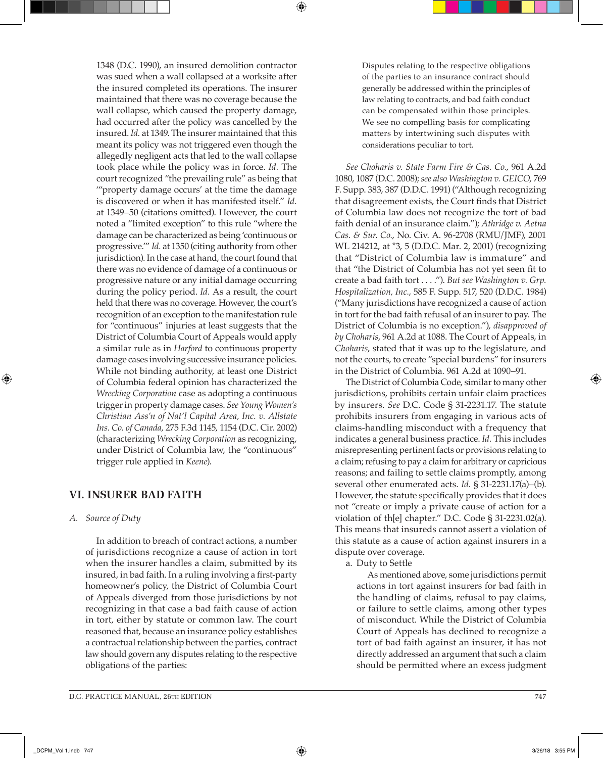1348 (D.C. 1990), an insured demolition contractor was sued when a wall collapsed at a worksite after the insured completed its operations. The insurer maintained that there was no coverage because the wall collapse, which caused the property damage, had occurred after the policy was cancelled by the insured. *Id.* at 1349. The insurer maintained that this meant its policy was not triggered even though the allegedly negligent acts that led to the wall collapse took place while the policy was in force. *Id.* The court recognized "the prevailing rule" as being that '"property damage occurs' at the time the damage is discovered or when it has manifested itself." *Id.* at 1349–50 (citations omitted). However, the court noted a "limited exception" to this rule "where the damage can be characterized as being 'continuous or progressive.'" *Id.* at 1350 (citing authority from other jurisdiction). In the case at hand, the court found that there was no evidence of damage of a continuous or progressive nature or any initial damage occurring during the policy period. *Id.* As a result, the court held that there was no coverage. However, the court's recognition of an exception to the manifestation rule for "continuous" injuries at least suggests that the District of Columbia Court of Appeals would apply a similar rule as in *Harford* to continuous property damage cases involving successive insurance policies. While not binding authority, at least one District of Columbia federal opinion has characterized the *Wrecking Corporation* case as adopting a continuous trigger in property damage cases. *See Young Women's Christian Ass'n of Nat'l Capital Area, Inc. v. Allstate Ins. Co. of Canada*, 275 F.3d 1145, 1154 (D.C. Cir. 2002) (characterizing *Wrecking Corporation* as recognizing, under District of Columbia law, the "continuous" trigger rule applied in *Keene*).

# **VI. INSURER BAD FAITH**

## *A. Source of Duty*

⊕

In addition to breach of contract actions, a number of jurisdictions recognize a cause of action in tort when the insurer handles a claim, submitted by its insured, in bad faith. In a ruling involving a first-party homeowner's policy, the District of Columbia Court of Appeals diverged from those jurisdictions by not recognizing in that case a bad faith cause of action in tort, either by statute or common law. The court reasoned that, because an insurance policy establishes a contractual relationship between the parties, contract law should govern any disputes relating to the respective obligations of the parties:

Disputes relating to the respective obligations of the parties to an insurance contract should generally be addressed within the principles of law relating to contracts, and bad faith conduct can be compensated within those principles. We see no compelling basis for complicating matters by intertwining such disputes with considerations peculiar to tort.

*See Choharis v. State Farm Fire & Cas. Co.*, 961 A.2d 1080, 1087 (D.C. 2008); *see also Washington v. GEICO*, 769 F. Supp. 383, 387 (D.D.C. 1991) ("Although recognizing that disagreement exists, the Court finds that District of Columbia law does not recognize the tort of bad faith denial of an insurance claim."); *Athridge v. Aetna Cas. & Sur. Co.*, No. Civ. A. 96-2708 (RMU/JMF), 2001 WL 214212, at \*3, 5 (D.D.C. Mar. 2, 2001) (recognizing that "District of Columbia law is immature" and that "the District of Columbia has not yet seen fit to create a bad faith tort . . . ."). *But see Washington v. Grp. Hospitalization, Inc.*, 585 F. Supp. 517, 520 (D.D.C. 1984) ("Many jurisdictions have recognized a cause of action in tort for the bad faith refusal of an insurer to pay. The District of Columbia is no exception."), *disapproved of by Choharis*, 961 A.2d at 1088. The Court of Appeals, in *Choharis*, stated that it was up to the legislature, and not the courts, to create "special burdens" for insurers in the District of Columbia. 961 A.2d at 1090–91.

The District of Columbia Code, similar to many other jurisdictions, prohibits certain unfair claim practices by insurers. *See* D.C. Code § 31-2231.17. The statute prohibits insurers from engaging in various acts of claims-handling misconduct with a frequency that indicates a general business practice. *Id.* This includes misrepresenting pertinent facts or provisions relating to a claim; refusing to pay a claim for arbitrary or capricious reasons; and failing to settle claims promptly, among several other enumerated acts. *Id.* § 31-2231.17(a)–(b). However, the statute specifically provides that it does not "create or imply a private cause of action for a violation of th[e] chapter." D.C. Code § 31-2231.02(a). This means that insureds cannot assert a violation of this statute as a cause of action against insurers in a dispute over coverage.

a. Duty to Settle

As mentioned above, some jurisdictions permit actions in tort against insurers for bad faith in the handling of claims, refusal to pay claims, or failure to settle claims, among other types of misconduct. While the District of Columbia Court of Appeals has declined to recognize a tort of bad faith against an insurer, it has not directly addressed an argument that such a claim should be permitted where an excess judgment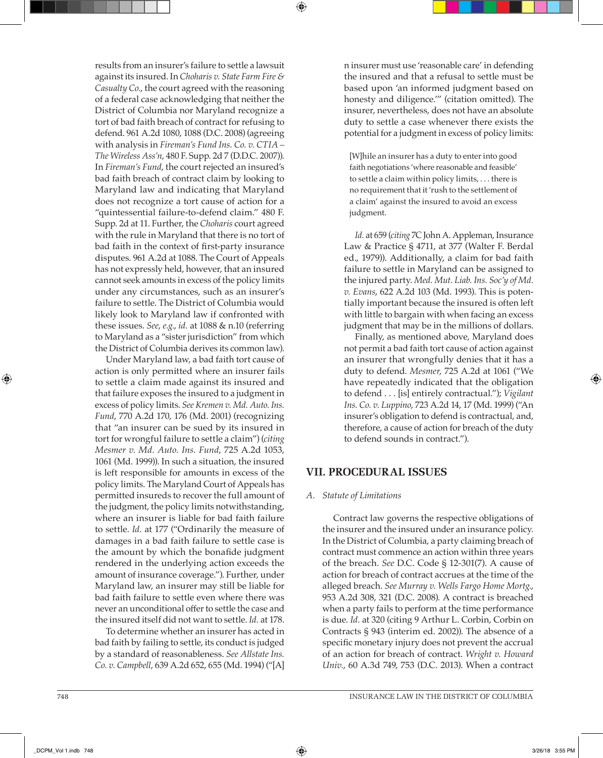results from an insurer's failure to settle a lawsuit against its insured. In *Choharis v. State Farm Fire & Casualty Co.*, the court agreed with the reasoning of a federal case acknowledging that neither the District of Columbia nor Maryland recognize a tort of bad faith breach of contract for refusing to defend. 961 A.2d 1080, 1088 (D.C. 2008) (agreeing with analysis in *Fireman's Fund Ins. Co. v. CTIA – The Wireless Ass'n*, 480 F. Supp. 2d 7 (D.D.C. 2007)). In *Fireman's Fund*, the court rejected an insured's bad faith breach of contract claim by looking to Maryland law and indicating that Maryland does not recognize a tort cause of action for a "quintessential failure-to-defend claim." 480 F. Supp. 2d at 11. Further, the *Choharis* court agreed with the rule in Maryland that there is no tort of bad faith in the context of first-party insurance disputes. 961 A.2d at 1088. The Court of Appeals has not expressly held, however, that an insured cannot seek amounts in excess of the policy limits under any circumstances, such as an insurer's failure to settle. The District of Columbia would likely look to Maryland law if confronted with these issues. *See*, *e.g.*, *id.* at 1088 & n.10 (referring to Maryland as a "sister jurisdiction" from which the District of Columbia derives its common law).

Under Maryland law, a bad faith tort cause of action is only permitted where an insurer fails to settle a claim made against its insured and that failure exposes the insured to a judgment in excess of policy limits. *See Kremen v. Md. Auto. Ins. Fund*, 770 A.2d 170, 176 (Md. 2001) (recognizing that "an insurer can be sued by its insured in tort for wrongful failure to settle a claim") (*citing Mesmer v. Md. Auto. Ins. Fund*, 725 A.2d 1053, 1061 (Md. 1999)). In such a situation, the insured is left responsible for amounts in excess of the policy limits. The Maryland Court of Appeals has permitted insureds to recover the full amount of the judgment, the policy limits notwithstanding, where an insurer is liable for bad faith failure to settle. *Id.* at 177 ("Ordinarily the measure of damages in a bad faith failure to settle case is the amount by which the bonafide judgment rendered in the underlying action exceeds the amount of insurance coverage."). Further, under Maryland law, an insurer may still be liable for bad faith failure to settle even where there was never an unconditional offer to settle the case and the insured itself did not want to settle. *Id.* at 178.

To determine whether an insurer has acted in bad faith by failing to settle, its conduct is judged by a standard of reasonableness. *See Allstate Ins. Co. v. Campbell*, 639 A.2d 652, 655 (Md. 1994) ("[A] n insurer must use 'reasonable care' in defending the insured and that a refusal to settle must be based upon 'an informed judgment based on honesty and diligence.'" (citation omitted). The insurer, nevertheless, does not have an absolute duty to settle a case whenever there exists the potential for a judgment in excess of policy limits:

[W]hile an insurer has a duty to enter into good faith negotiations 'where reasonable and feasible' to settle a claim within policy limits, . . . there is no requirement that it 'rush to the settlement of a claim' against the insured to avoid an excess judgment.

*Id.* at 659 (*citing* 7C John A. Appleman, Insurance Law & Practice § 4711, at 377 (Walter F. Berdal ed., 1979)). Additionally, a claim for bad faith failure to settle in Maryland can be assigned to the injured party. *Med. Mut. Liab. Ins. Soc'y of Md. v. Evans*, 622 A.2d 103 (Md. 1993). This is potentially important because the insured is often left with little to bargain with when facing an excess judgment that may be in the millions of dollars.

Finally, as mentioned above, Maryland does not permit a bad faith tort cause of action against an insurer that wrongfully denies that it has a duty to defend. *Mesmer*, 725 A.2d at 1061 ("We have repeatedly indicated that the obligation to defend . . . [is] entirely contractual."); *Vigilant Ins. Co. v. Luppino*, 723 A.2d 14, 17 (Md. 1999) ("An insurer's obligation to defend is contractual, and, therefore, a cause of action for breach of the duty to defend sounds in contract.").

# **VII. PROCEDURAL ISSUES**

#### *A. Statute of Limitations*

Contract law governs the respective obligations of the insurer and the insured under an insurance policy. In the District of Columbia, a party claiming breach of contract must commence an action within three years of the breach. *See* D.C. Code § 12-301(7). A cause of action for breach of contract accrues at the time of the alleged breach. *See Murray v. Wells Fargo Home Mortg.*, 953 A.2d 308, 321 (D.C. 2008). A contract is breached when a party fails to perform at the time performance is due. *Id.* at 320 (citing 9 Arthur L. Corbin, Corbin on Contracts § 943 (interim ed. 2002)). The absence of a specific monetary injury does not prevent the accrual of an action for breach of contract. *Wright v. Howard Univ.*, 60 A.3d 749, 753 (D.C. 2013). When a contract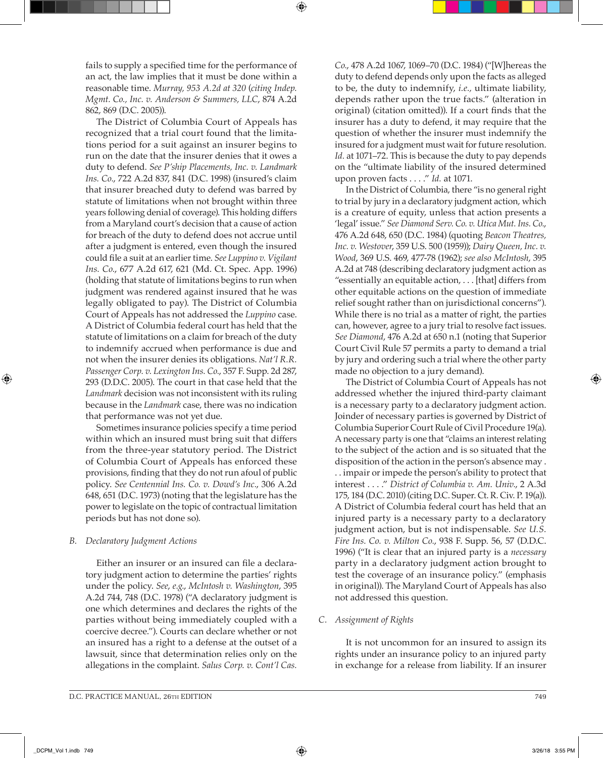fails to supply a specified time for the performance of an act, the law implies that it must be done within a reasonable time. *Murray, 953 A.2d at 320* (*citing Indep. Mgmt. Co., Inc. v. Anderson & Summers, LLC*, 874 A.2d 862, 869 (D.C. 2005)).

The District of Columbia Court of Appeals has recognized that a trial court found that the limitations period for a suit against an insurer begins to run on the date that the insurer denies that it owes a duty to defend. *See P'ship Placements, Inc. v. Landmark Ins. Co.*, 722 A.2d 837, 841 (D.C. 1998) (insured's claim that insurer breached duty to defend was barred by statute of limitations when not brought within three years following denial of coverage). This holding differs from a Maryland court's decision that a cause of action for breach of the duty to defend does not accrue until after a judgment is entered, even though the insured could file a suit at an earlier time. *See Luppino v. Vigilant Ins. Co.*, 677 A.2d 617, 621 (Md. Ct. Spec. App. 1996) (holding that statute of limitations begins to run when judgment was rendered against insured that he was legally obligated to pay). The District of Columbia Court of Appeals has not addressed the *Luppino* case. A District of Columbia federal court has held that the statute of limitations on a claim for breach of the duty to indemnify accrued when performance is due and not when the insurer denies its obligations. *Nat'l R.R. Passenger Corp. v. Lexington Ins. Co.*, 357 F. Supp. 2d 287, 293 (D.D.C. 2005). The court in that case held that the *Landmark* decision was not inconsistent with its ruling because in the *Landmark* case, there was no indication that performance was not yet due.

Sometimes insurance policies specify a time period within which an insured must bring suit that differs from the three-year statutory period. The District of Columbia Court of Appeals has enforced these provisions, finding that they do not run afoul of public policy. *See Centennial Ins. Co. v. Dowd's Inc.*, 306 A.2d 648, 651 (D.C. 1973) (noting that the legislature has the power to legislate on the topic of contractual limitation periods but has not done so).

## *B. Declaratory Judgment Actions*

Either an insurer or an insured can file a declaratory judgment action to determine the parties' rights under the policy. *See*, *e.g.*, *McIntosh v. Washington*, 395 A.2d 744, 748 (D.C. 1978) ("A declaratory judgment is one which determines and declares the rights of the parties without being immediately coupled with a coercive decree."). Courts can declare whether or not an insured has a right to a defense at the outset of a lawsuit, since that determination relies only on the allegations in the complaint. *Salus Corp. v. Cont'l Cas.*  *Co.*, 478 A.2d 1067, 1069–70 (D.C. 1984) ("[W]hereas the duty to defend depends only upon the facts as alleged to be, the duty to indemnify, *i.e.,* ultimate liability, depends rather upon the true facts." (alteration in original) (citation omitted)). If a court finds that the insurer has a duty to defend, it may require that the question of whether the insurer must indemnify the insured for a judgment must wait for future resolution. *Id.* at 1071–72. This is because the duty to pay depends on the "ultimate liability of the insured determined upon proven facts . . . ." *Id.* at 1071.

In the District of Columbia, there "is no general right to trial by jury in a declaratory judgment action, which is a creature of equity, unless that action presents a 'legal' issue." *See Diamond Serv. Co. v. Utica Mut. Ins. Co.*, 476 A.2d 648, 650 (D.C. 1984) (quoting *Beacon Theatres, Inc. v. Westover*, 359 U.S. 500 (1959)); *Dairy Queen, Inc. v. Wood*, 369 U.S. 469, 477-78 (1962); *see also McIntosh*, 395 A.2d at 748 (describing declaratory judgment action as "essentially an equitable action, . . . [that] differs from other equitable actions on the question of immediate relief sought rather than on jurisdictional concerns"). While there is no trial as a matter of right, the parties can, however, agree to a jury trial to resolve fact issues. *See Diamond*, 476 A.2d at 650 n.1 (noting that Superior Court Civil Rule 57 permits a party to demand a trial by jury and ordering such a trial where the other party made no objection to a jury demand).

The District of Columbia Court of Appeals has not addressed whether the injured third-party claimant is a necessary party to a declaratory judgment action. Joinder of necessary parties is governed by District of Columbia Superior Court Rule of Civil Procedure 19(a). A necessary party is one that "claims an interest relating to the subject of the action and is so situated that the disposition of the action in the person's absence may . . . impair or impede the person's ability to protect that interest . . . ." *District of Columbia v. Am. Univ.*, 2 A.3d 175, 184 (D.C. 2010) (citing D.C. Super. Ct. R. Civ. P. 19(a)). A District of Columbia federal court has held that an injured party is a necessary party to a declaratory judgment action, but is not indispensable. *See U.S. Fire Ins. Co. v. Milton Co.*, 938 F. Supp. 56, 57 (D.D.C. 1996) ("It is clear that an injured party is a *necessary* party in a declaratory judgment action brought to test the coverage of an insurance policy." (emphasis in original)). The Maryland Court of Appeals has also not addressed this question.

## *C. Assignment of Rights*

It is not uncommon for an insured to assign its rights under an insurance policy to an injured party in exchange for a release from liability. If an insurer

⊕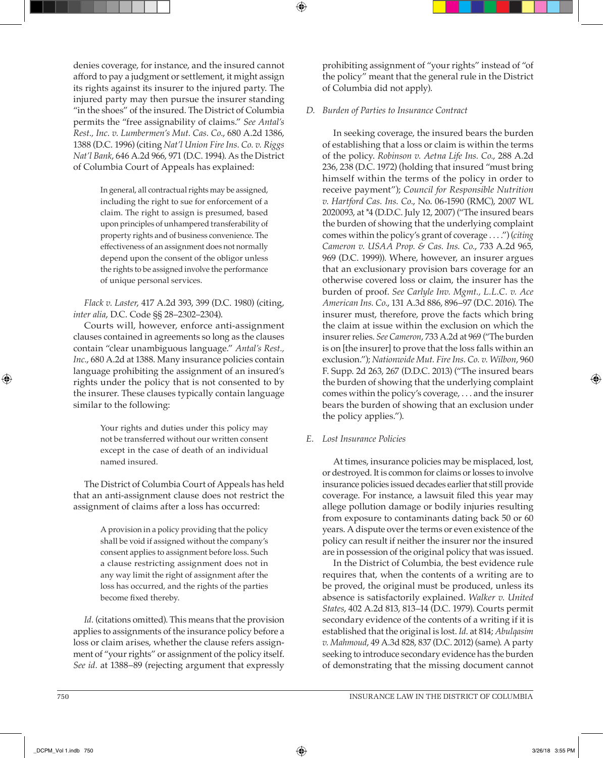denies coverage, for instance, and the insured cannot afford to pay a judgment or settlement, it might assign its rights against its insurer to the injured party. The injured party may then pursue the insurer standing "in the shoes" of the insured. The District of Columbia permits the "free assignability of claims." *See Antal's Rest., Inc. v. Lumbermen's Mut. Cas. Co.*, 680 A.2d 1386, 1388 (D.C. 1996) (citing *Nat'l Union Fire Ins. Co. v. Riggs Nat'l Bank*, 646 A.2d 966, 971 (D.C. 1994). As the District of Columbia Court of Appeals has explained:

> In general, all contractual rights may be assigned, including the right to sue for enforcement of a claim. The right to assign is presumed, based upon principles of unhampered transferability of property rights and of business convenience. The effectiveness of an assignment does not normally depend upon the consent of the obligor unless the rights to be assigned involve the performance of unique personal services.

*Flack v. Laster*, 417 A.2d 393, 399 (D.C. 1980) (citing, *inter alia*, D.C. Code §§ 28–2302–2304).

Courts will, however, enforce anti-assignment clauses contained in agreements so long as the clauses contain "clear unambiguous language." *Antal's Rest.,*  Inc., 680 A.2d at 1388. Many insurance policies contain language prohibiting the assignment of an insured's rights under the policy that is not consented to by the insurer. These clauses typically contain language similar to the following:

> Your rights and duties under this policy may not be transferred without our written consent except in the case of death of an individual named insured.

The District of Columbia Court of Appeals has held that an anti-assignment clause does not restrict the assignment of claims after a loss has occurred:

> A provision in a policy providing that the policy shall be void if assigned without the company's consent applies to assignment before loss. Such a clause restricting assignment does not in any way limit the right of assignment after the loss has occurred, and the rights of the parties become fixed thereby.

*Id.* (citations omitted). This means that the provision applies to assignments of the insurance policy before a loss or claim arises, whether the clause refers assignment of "your rights" or assignment of the policy itself. *See id.* at 1388–89 (rejecting argument that expressly

prohibiting assignment of "your rights" instead of "of the policy" meant that the general rule in the District of Columbia did not apply).

# *D. Burden of Parties to Insurance Contract*

In seeking coverage, the insured bears the burden of establishing that a loss or claim is within the terms of the policy. *Robinson v. Aetna Life Ins. Co.*, 288 A.2d 236, 238 (D.C. 1972) (holding that insured "must bring himself within the terms of the policy in order to receive payment"); *Council for Responsible Nutrition v. Hartford Cas. Ins. Co.*, No. 06-1590 (RMC), 2007 WL 2020093, at \*4 (D.D.C. July 12, 2007) ("The insured bears the burden of showing that the underlying complaint comes within the policy's grant of coverage . . . .") (*citing Cameron v. USAA Prop. & Cas. Ins. Co.*, 733 A.2d 965, 969 (D.C. 1999)). Where, however, an insurer argues that an exclusionary provision bars coverage for an otherwise covered loss or claim, the insurer has the burden of proof. *See Carlyle Inv. Mgmt., L.L.C. v. Ace American Ins. Co.*, 131 A.3d 886, 896–97 (D.C. 2016). The insurer must, therefore, prove the facts which bring the claim at issue within the exclusion on which the insurer relies. *See Cameron*, 733 A.2d at 969 ("The burden is on [the insurer] to prove that the loss falls within an exclusion."); *Nationwide Mut. Fire Ins. Co. v. Wilbon*, 960 F. Supp. 2d 263, 267 (D.D.C. 2013) ("The insured bears the burden of showing that the underlying complaint comes within the policy's coverage, . . . and the insurer bears the burden of showing that an exclusion under the policy applies.").

## *E. Lost Insurance Policies*

At times, insurance policies may be misplaced, lost, or destroyed. It is common for claims or losses to involve insurance policies issued decades earlier that still provide coverage. For instance, a lawsuit filed this year may allege pollution damage or bodily injuries resulting from exposure to contaminants dating back 50 or 60 years. A dispute over the terms or even existence of the policy can result if neither the insurer nor the insured are in possession of the original policy that was issued.

In the District of Columbia, the best evidence rule requires that, when the contents of a writing are to be proved, the original must be produced, unless its absence is satisfactorily explained. *Walker v. United States*, 402 A.2d 813, 813–14 (D.C. 1979). Courts permit secondary evidence of the contents of a writing if it is established that the original is lost. *Id*. at 814; *Abulqasim v. Mahmoud*, 49 A.3d 828, 837 (D.C. 2012) (same). A party seeking to introduce secondary evidence has the burden of demonstrating that the missing document cannot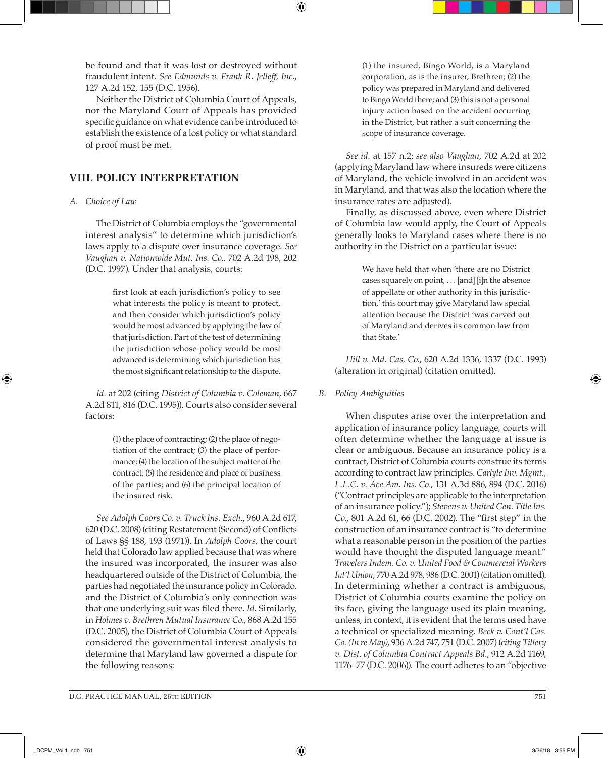be found and that it was lost or destroyed without fraudulent intent. *See Edmunds v. Frank R. Jelleff, Inc.*, 127 A.2d 152, 155 (D.C. 1956).

⊕

Neither the District of Columbia Court of Appeals, nor the Maryland Court of Appeals has provided specific guidance on what evidence can be introduced to establish the existence of a lost policy or what standard of proof must be met.

# **VIII. POLICY INTERPRETATION**

#### *A. Choice of Law*

The District of Columbia employs the "governmental interest analysis" to determine which jurisdiction's laws apply to a dispute over insurance coverage. *See Vaughan v. Nationwide Mut. Ins. Co.*, 702 A.2d 198, 202 (D.C. 1997). Under that analysis, courts:

> first look at each jurisdiction's policy to see what interests the policy is meant to protect, and then consider which jurisdiction's policy would be most advanced by applying the law of that jurisdiction. Part of the test of determining the jurisdiction whose policy would be most advanced is determining which jurisdiction has the most significant relationship to the dispute.

*Id.* at 202 (citing *District of Columbia v. Coleman*, 667 A.2d 811, 816 (D.C. 1995)). Courts also consider several factors:

> (1) the place of contracting; (2) the place of negotiation of the contract; (3) the place of performance; (4) the location of the subject matter of the contract; (5) the residence and place of business of the parties; and (6) the principal location of the insured risk.

*See Adolph Coors Co. v. Truck Ins. Exch.*, 960 A.2d 617, 620 (D.C. 2008) (citing Restatement (Second) of Conflicts of Laws §§ 188, 193 (1971)). In *Adolph Coors*, the court held that Colorado law applied because that was where the insured was incorporated, the insurer was also headquartered outside of the District of Columbia, the parties had negotiated the insurance policy in Colorado, and the District of Columbia's only connection was that one underlying suit was filed there. *Id.* Similarly, in *Holmes v. Brethren Mutual Insurance Co*., 868 A.2d 155 (D.C. 2005), the District of Columbia Court of Appeals considered the governmental interest analysis to determine that Maryland law governed a dispute for the following reasons:

(1) the insured, Bingo World, is a Maryland corporation, as is the insurer, Brethren; (2) the policy was prepared in Maryland and delivered to Bingo World there; and (3) this is not a personal injury action based on the accident occurring in the District, but rather a suit concerning the scope of insurance coverage.

*See id.* at 157 n.2; *see also Vaughan*, 702 A.2d at 202 (applying Maryland law where insureds were citizens of Maryland, the vehicle involved in an accident was in Maryland, and that was also the location where the insurance rates are adjusted).

Finally, as discussed above, even where District of Columbia law would apply, the Court of Appeals generally looks to Maryland cases where there is no authority in the District on a particular issue:

> We have held that when 'there are no District cases squarely on point, . . . [and] [i]n the absence of appellate or other authority in this jurisdiction,' this court may give Maryland law special attention because the District 'was carved out of Maryland and derives its common law from that State.'

*Hill v. Md. Cas. Co*., 620 A.2d 1336, 1337 (D.C. 1993) (alteration in original) (citation omitted).

*B. Policy Ambiguities*

When disputes arise over the interpretation and application of insurance policy language, courts will often determine whether the language at issue is clear or ambiguous. Because an insurance policy is a contract, District of Columbia courts construe its terms according to contract law principles. *Carlyle Inv. Mgmt., L.L.C. v. Ace Am. Ins. Co.*, 131 A.3d 886, 894 (D.C. 2016) ("Contract principles are applicable to the interpretation of an insurance policy."); *Stevens v. United Gen. Title Ins. Co*., 801 A.2d 61, 66 (D.C. 2002). The "first step" in the construction of an insurance contract is "to determine what a reasonable person in the position of the parties would have thought the disputed language meant." *Travelers Indem. Co. v. United Food & Commercial Workers Int'l Union*, 770 A.2d 978, 986 (D.C. 2001) (citation omitted). In determining whether a contract is ambiguous, District of Columbia courts examine the policy on its face, giving the language used its plain meaning, unless, in context, it is evident that the terms used have a technical or specialized meaning. *Beck v. Cont'l Cas. Co. (In re May)*, 936 A.2d 747, 751 (D.C. 2007) (*citing Tillery v. Dist. of Columbia Contract Appeals Bd.*, 912 A.2d 1169, 1176–77 (D.C. 2006)). The court adheres to an "objective

⊕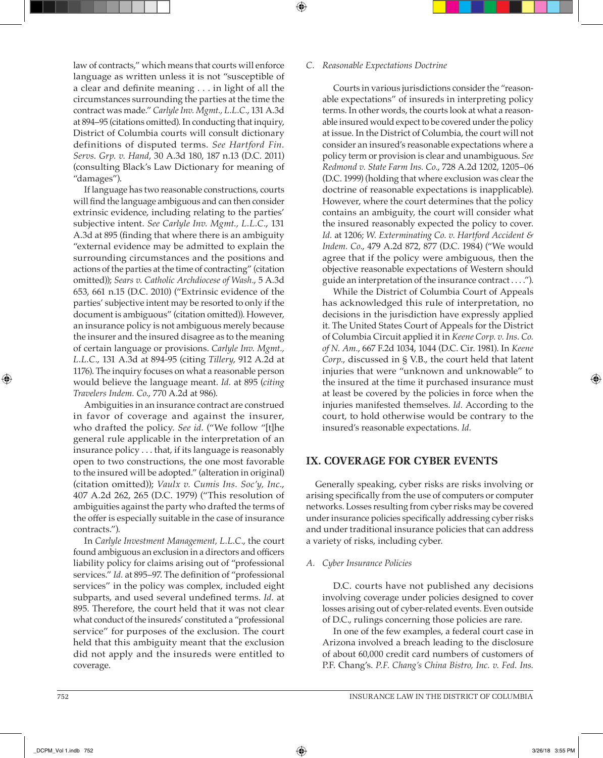law of contracts," which means that courts will enforce language as written unless it is not "susceptible of a clear and definite meaning . . . in light of all the circumstances surrounding the parties at the time the contract was made." *Carlyle Inv. Mgmt., L.L.C.*, 131 A.3d at 894–95 (citations omitted). In conducting that inquiry, District of Columbia courts will consult dictionary definitions of disputed terms. *See Hartford Fin. Servs. Grp. v. Hand*, 30 A.3d 180, 187 n.13 (D.C. 2011) (consulting Black's Law Dictionary for meaning of "damages").

If language has two reasonable constructions, courts will find the language ambiguous and can then consider extrinsic evidence, including relating to the parties' subjective intent. *See Carlyle Inv. Mgmt., L.L.C.*, 131 A.3d at 895 (finding that where there is an ambiguity "external evidence may be admitted to explain the surrounding circumstances and the positions and actions of the parties at the time of contracting" (citation omitted)); *Sears v. Catholic Archdiocese of Wash.*, 5 A.3d 653, 661 n.15 (D.C. 2010) ("Extrinsic evidence of the parties' subjective intent may be resorted to only if the document is ambiguous" (citation omitted)). However, an insurance policy is not ambiguous merely because the insurer and the insured disagree as to the meaning of certain language or provisions. *Carlyle Inv. Mgmt., L.L.C.*, 131 A.3d at 894-95 (citing *Tillery*, 912 A.2d at 1176). The inquiry focuses on what a reasonable person would believe the language meant. *Id.* at 895 (*citing Travelers Indem. Co.*, 770 A.2d at 986).

Ambiguities in an insurance contract are construed in favor of coverage and against the insurer, who drafted the policy. *See id.* ("We follow "[t]he general rule applicable in the interpretation of an insurance policy . . . that, if its language is reasonably open to two constructions, the one most favorable to the insured will be adopted." (alteration in original) (citation omitted)); *Vaulx v. Cumis Ins. Soc'y, Inc.*, 407 A.2d 262, 265 (D.C. 1979) ("This resolution of ambiguities against the party who drafted the terms of the offer is especially suitable in the case of insurance contracts.").

In *Carlyle Investment Management, L.L.C.*, the court found ambiguous an exclusion in a directors and officers liability policy for claims arising out of "professional services." *Id.* at 895–97. The definition of "professional services" in the policy was complex, included eight subparts, and used several undefined terms. *Id.* at 895. Therefore, the court held that it was not clear what conduct of the insureds' constituted a "professional service" for purposes of the exclusion. The court held that this ambiguity meant that the exclusion did not apply and the insureds were entitled to coverage.

#### *C. Reasonable Expectations Doctrine*

⊕

Courts in various jurisdictions consider the "reasonable expectations" of insureds in interpreting policy terms. In other words, the courts look at what a reasonable insured would expect to be covered under the policy at issue. In the District of Columbia, the court will not consider an insured's reasonable expectations where a policy term or provision is clear and unambiguous. *See Redmond v. State Farm Ins. Co.*, 728 A.2d 1202, 1205–06 (D.C. 1999) (holding that where exclusion was clear the doctrine of reasonable expectations is inapplicable). However, where the court determines that the policy contains an ambiguity, the court will consider what the insured reasonably expected the policy to cover. *Id.* at 1206; *W. Exterminating Co. v. Hartford Accident & Indem. Co.*, 479 A.2d 872, 877 (D.C. 1984) ("We would agree that if the policy were ambiguous, then the objective reasonable expectations of Western should guide an interpretation of the insurance contract . . . .").

While the District of Columbia Court of Appeals has acknowledged this rule of interpretation, no decisions in the jurisdiction have expressly applied it. The United States Court of Appeals for the District of Columbia Circuit applied it in *Keene Corp. v. Ins. Co. of N. Am.*, 667 F.2d 1034, 1044 (D.C. Cir. 1981). In *Keene Corp.*, discussed in § V.B., the court held that latent injuries that were "unknown and unknowable" to the insured at the time it purchased insurance must at least be covered by the policies in force when the injuries manifested themselves. *Id.* According to the court, to hold otherwise would be contrary to the insured's reasonable expectations. *Id.*

# **IX. COVERAGE FOR CYBER EVENTS**

Generally speaking, cyber risks are risks involving or arising specifically from the use of computers or computer networks. Losses resulting from cyber risks may be covered under insurance policies specifically addressing cyber risks and under traditional insurance policies that can address a variety of risks, including cyber.

#### *A. Cyber Insurance Policies*

D.C. courts have not published any decisions involving coverage under policies designed to cover losses arising out of cyber-related events. Even outside of D.C., rulings concerning those policies are rare.

In one of the few examples, a federal court case in Arizona involved a breach leading to the disclosure of about 60,000 credit card numbers of customers of P.F. Chang's. *P.F. Chang's China Bistro, Inc. v. Fed. Ins.*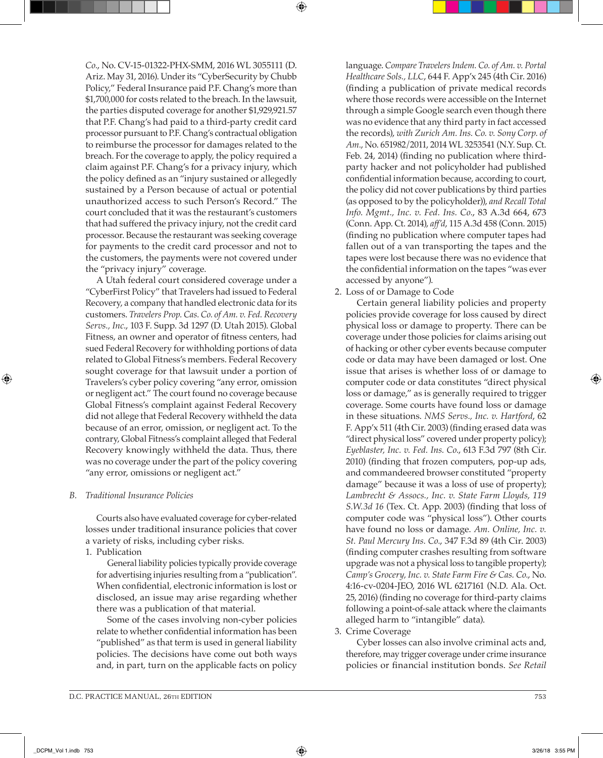*Co.*, No. CV-15-01322-PHX-SMM, 2016 WL 3055111 (D. Ariz. May 31, 2016). Under its "CyberSecurity by Chubb Policy," Federal Insurance paid P.F. Chang's more than \$1,700,000 for costs related to the breach. In the lawsuit, the parties disputed coverage for another \$1,929,921.57 that P.F. Chang's had paid to a third-party credit card processor pursuant to P.F. Chang's contractual obligation to reimburse the processor for damages related to the breach. For the coverage to apply, the policy required a claim against P.F. Chang's for a privacy injury, which the policy defined as an "injury sustained or allegedly sustained by a Person because of actual or potential unauthorized access to such Person's Record." The court concluded that it was the restaurant's customers that had suffered the privacy injury, not the credit card processor. Because the restaurant was seeking coverage for payments to the credit card processor and not to the customers, the payments were not covered under the "privacy injury" coverage.

A Utah federal court considered coverage under a "CyberFirst Policy" that Travelers had issued to Federal Recovery, a company that handled electronic data for its customers. *Travelers Prop. Cas. Co. of Am. v. Fed. Recovery Servs., Inc.*, 103 F. Supp. 3d 1297 (D. Utah 2015). Global Fitness, an owner and operator of fitness centers, had sued Federal Recovery for withholding portions of data related to Global Fitness's members. Federal Recovery sought coverage for that lawsuit under a portion of Travelers's cyber policy covering "any error, omission or negligent act." The court found no coverage because Global Fitness's complaint against Federal Recovery did not allege that Federal Recovery withheld the data because of an error, omission, or negligent act. To the contrary, Global Fitness's complaint alleged that Federal Recovery knowingly withheld the data. Thus, there was no coverage under the part of the policy covering "any error, omissions or negligent act."

## *B. Traditional Insurance Policies*

Courts also have evaluated coverage for cyber-related losses under traditional insurance policies that cover a variety of risks, including cyber risks.

1. Publication

General liability policies typically provide coverage for advertising injuries resulting from a "publication". When confidential, electronic information is lost or disclosed, an issue may arise regarding whether there was a publication of that material.

Some of the cases involving non-cyber policies relate to whether confidential information has been "published" as that term is used in general liability policies. The decisions have come out both ways and, in part, turn on the applicable facts on policy language. *Compare Travelers Indem. Co. of Am. v. Portal Healthcare Sols., LLC*, 644 F. App'x 245 (4th Cir. 2016) (finding a publication of private medical records where those records were accessible on the Internet through a simple Google search even though there was no evidence that any third party in fact accessed the records), *with Zurich Am. Ins. Co. v. Sony Corp. of Am.*, No. 651982/2011, 2014 WL 3253541 (N.Y. Sup. Ct. Feb. 24, 2014) (finding no publication where thirdparty hacker and not policyholder had published confidential information because, according to court, the policy did not cover publications by third parties (as opposed to by the policyholder)), *and Recall Total Info. Mgmt., Inc. v. Fed. Ins. Co.*, 83 A.3d 664, 673 (Conn. App. Ct. 2014), *aff'd*, 115 A.3d 458 (Conn. 2015) (finding no publication where computer tapes had fallen out of a van transporting the tapes and the tapes were lost because there was no evidence that the confidential information on the tapes "was ever accessed by anyone").

2. Loss of or Damage to Code

Certain general liability policies and property policies provide coverage for loss caused by direct physical loss or damage to property. There can be coverage under those policies for claims arising out of hacking or other cyber events because computer code or data may have been damaged or lost. One issue that arises is whether loss of or damage to computer code or data constitutes "direct physical loss or damage," as is generally required to trigger coverage. Some courts have found loss or damage in these situations. *NMS Servs., Inc. v. Hartford*, 62 F. App'x 511 (4th Cir. 2003) (finding erased data was "direct physical loss" covered under property policy); *Eyeblaster, Inc. v. Fed. Ins. Co.*, 613 F.3d 797 (8th Cir. 2010) (finding that frozen computers, pop-up ads, and commandeered browser constituted "property damage" because it was a loss of use of property); *Lambrecht & Assocs., Inc. v. State Farm Lloyds, 119 S.W.3d 16* (Tex. Ct. App. 2003) (finding that loss of computer code was "physical loss"). Other courts have found no loss or damage. *Am. Online, Inc. v. St. Paul Mercury Ins. Co.*, 347 F.3d 89 (4th Cir. 2003) (finding computer crashes resulting from software upgrade was not a physical loss to tangible property); *Camp's Grocery, Inc. v. State Farm Fire & Cas. Co.*, No. 4:16-cv-0204-JEO, 2016 WL 6217161 (N.D. Ala. Oct. 25, 2016) (finding no coverage for third-party claims following a point-of-sale attack where the claimants alleged harm to "intangible" data).

3. Crime Coverage

Cyber losses can also involve criminal acts and, therefore, may trigger coverage under crime insurance policies or financial institution bonds. *See Retail*